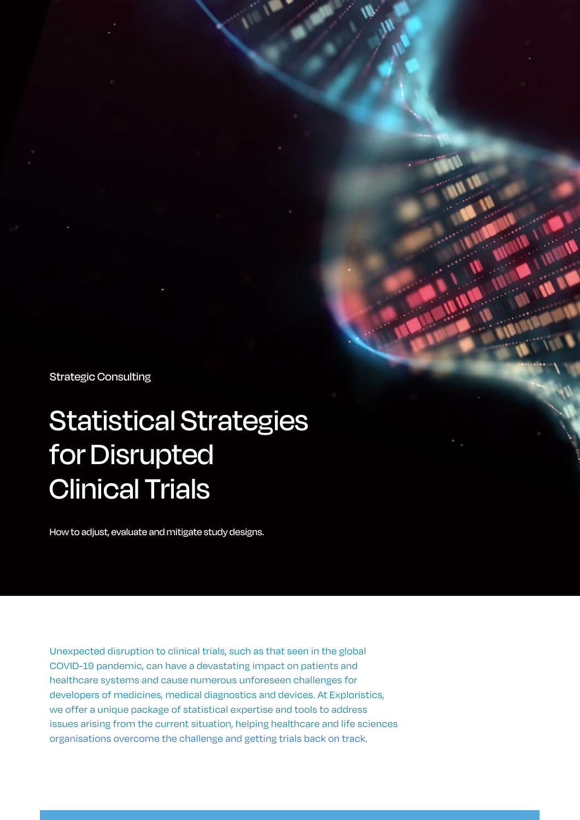Strategic Consulting

# Statistical Strategies for Disrupted Clinical Trials

How to adjust, evaluate and mitigate study designs.

Unexpected disruption to clinical trials, such as that seen in the global COVID-19 pandemic, can have a devastating impact on patients and healthcare systems and cause numerous unforeseen challenges for developers of medicines, medical diagnostics and devices. At Exploristics, we offer a unique package of statistical expertise and tools to address issues arising from the current situation, helping healthcare and life sciences organisations overcome the challenge and getting trials back on track.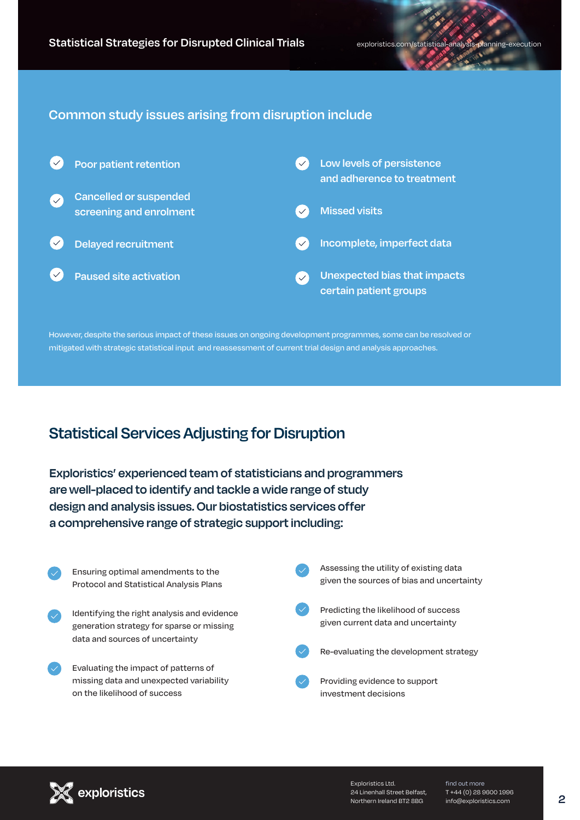### **Common study issues arising from disruption include**



However, despite the serious impact of these issues on ongoing development programmes, some can be resolved or mitigated with strategic statistical input and reassessment of current trial design and analysis approaches.

## **Statistical Services Adjusting for Disruption**

**Exploristics' experienced team of statisticians and programmers are well-placed to identify and tackle a wide range of study design and analysis issues. Our biostatistics services offer a comprehensive range of strategic support including:**





Exploristics Ltd. 24 Linenhall Street Belfast, Northern Ireland BT2 8BG